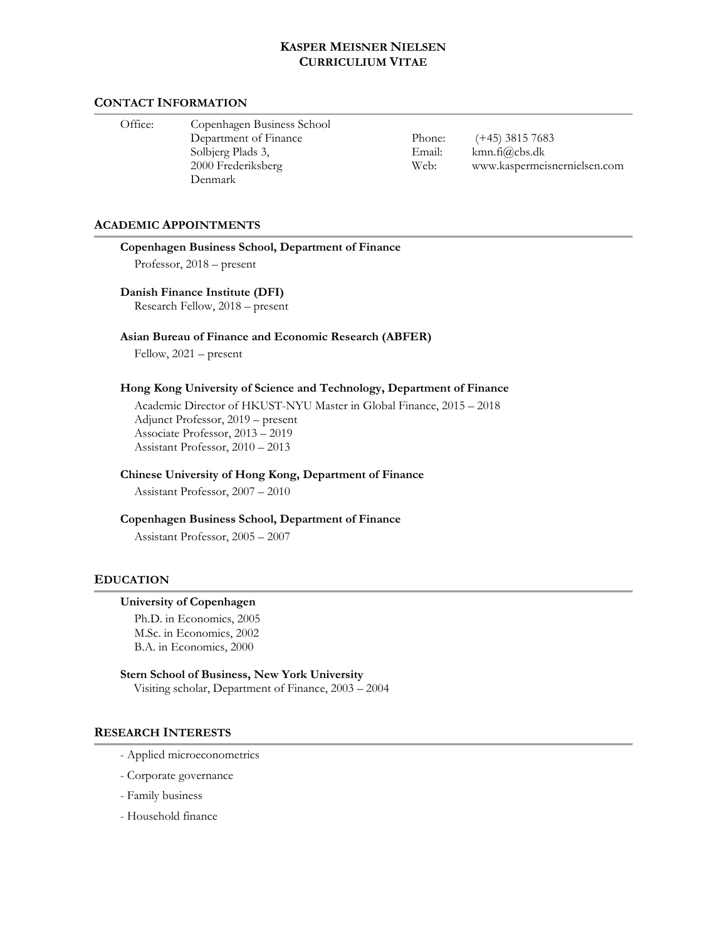#### **CONTACT INFORMATION**

 Office: Copenhagen Business School Department of Finance Solbjerg Plads 3, 2000 Frederiksberg Denmark

Phone: Email: Web: (+45) 3815 7683 kmn.fi@cbs.dk www.kaspermeisnernielsen.com

#### **ACADEMIC APPOINTMENTS**

#### **Copenhagen Business School, Department of Finance**

Professor, 2018 – present

#### **Danish Finance Institute (DFI)**

Research Fellow, 2018 – present

#### **Asian Bureau of Finance and Economic Research (ABFER)**

Fellow, 2021 – present

### **Hong Kong University of Science and Technology, Department of Finance**

 Academic Director of HKUST-NYU Master in Global Finance, 2015 – 2018 Adjunct Professor, 2019 – present Associate Professor, 2013 – 2019 Assistant Professor, 2010 – 2013

### **Chinese University of Hong Kong, Department of Finance**

Assistant Professor, 2007 – 2010

#### **Copenhagen Business School, Department of Finance**

Assistant Professor, 2005 – 2007

### **EDUCATION**

#### **University of Copenhagen**

 Ph.D. in Economics, 2005 M.Sc. in Economics, 2002 B.A. in Economics, 2000

#### **Stern School of Business, New York University**  Visiting scholar, Department of Finance, 2003 – 2004

### **RESEARCH INTERESTS**

- Applied microeconometrics
- Corporate governance
- Family business
- Household finance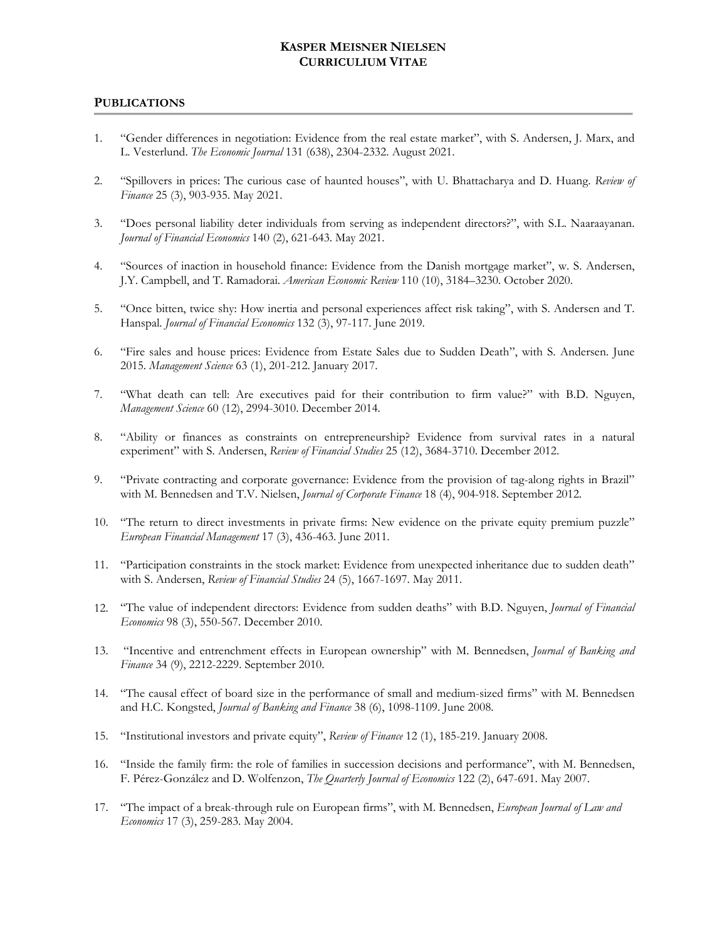### **PUBLICATIONS**

- 1. "Gender differences in negotiation: Evidence from the real estate market", with S. Andersen, J. Marx, and L. Vesterlund. *The Economic Journal* 131 (638), 2304-2332. August 2021.
- 2. "Spillovers in prices: The curious case of haunted houses", with U. Bhattacharya and D. Huang. *Review of Finance* 25 (3), 903-935. May 2021.
- 3. "Does personal liability deter individuals from serving as independent directors?", with S.L. Naaraayanan. *Journal of Financial Economics* 140 (2), 621-643. May 2021.
- 4. "Sources of inaction in household finance: Evidence from the Danish mortgage market", w. S. Andersen, J.Y. Campbell, and T. Ramadorai. *American Economic Review* 110 (10), 3184–3230. October 2020.
- 5. "Once bitten, twice shy: How inertia and personal experiences affect risk taking", with S. Andersen and T. Hanspal. *Journal of Financial Economics* 132 (3), 97-117. June 2019.
- 6. "Fire sales and house prices: Evidence from Estate Sales due to Sudden Death", with S. Andersen. June 2015. *Management Science* 63 (1), 201-212. January 2017.
- 7. "What death can tell: Are executives paid for their contribution to firm value?" with B.D. Nguyen, *Management Science* 60 (12), 2994-3010. December 2014.
- 8. "Ability or finances as constraints on entrepreneurship? Evidence from survival rates in a natural experiment" with S. Andersen, *Review of Financial Studies* 25 (12), 3684-3710. December 2012.
- 9. "Private contracting and corporate governance: Evidence from the provision of tag-along rights in Brazil" with M. Bennedsen and T.V. Nielsen, *Journal of Corporate Finance* 18 (4), 904-918. September 2012.
- 10. "The return to direct investments in private firms: New evidence on the private equity premium puzzle" *European Financial Management* 17 (3), 436-463. June 2011.
- 11. "Participation constraints in the stock market: Evidence from unexpected inheritance due to sudden death" with S. Andersen, *Review of Financial Studies* 24 (5), 1667-1697. May 2011.
- 12. "The value of independent directors: Evidence from sudden deaths" with B.D. Nguyen, *Journal of Financial Economics* 98 (3), 550-567. December 2010.
- 13. "Incentive and entrenchment effects in European ownership" with M. Bennedsen, *Journal of Banking and Finance* 34 (9), 2212-2229. September 2010.
- 14. "The causal effect of board size in the performance of small and medium-sized firms" with M. Bennedsen and H.C. Kongsted, *Journal of Banking and Finance* 38 (6), 1098-1109. June 2008.
- 15. "Institutional investors and private equity", *Review of Finance* 12 (1), 185-219. January 2008.
- 16. "Inside the family firm: the role of families in succession decisions and performance", with M. Bennedsen, F. Pérez-González and D. Wolfenzon, *The Quarterly Journal of Economics* 122 (2), 647-691. May 2007.
- 17. "The impact of a break-through rule on European firms", with M. Bennedsen, *European Journal of Law and Economics* 17 (3), 259-283. May 2004.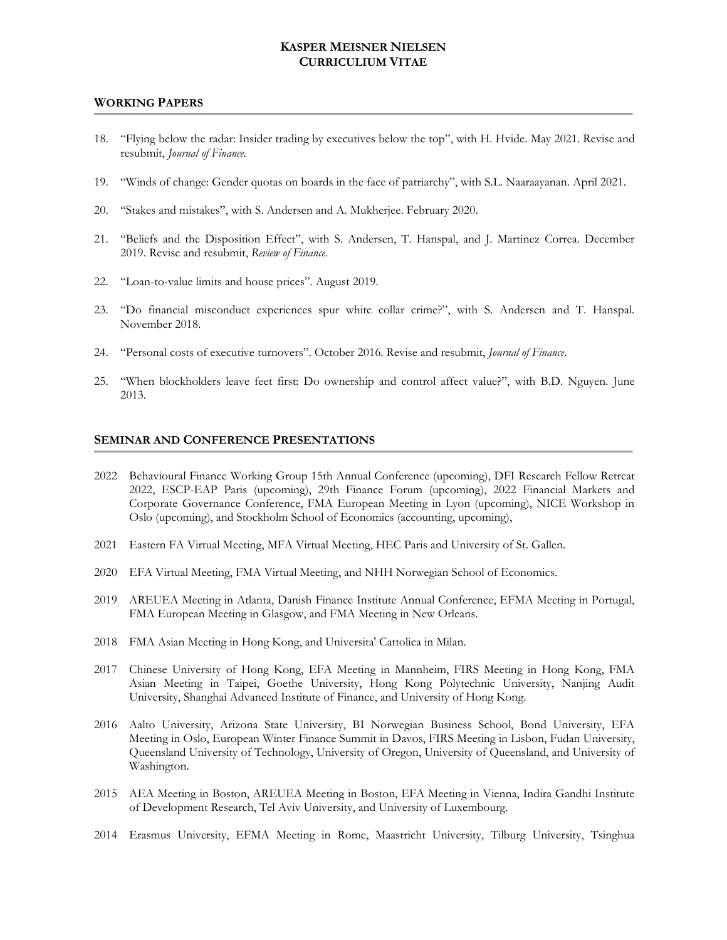#### **WORKING PAPERS**

- 18. "Flying below the radar: Insider trading by executives below the top", with H. Hvide. May 2021. Revise and resubmit, *Journal of Finance*.
- 19. "Winds of change: Gender quotas on boards in the face of patriarchy", with S.L. Naaraayanan. April 2021.
- 20. "Stakes and mistakes", with S. Andersen and A. Mukherjee. February 2020.
- 21. "Beliefs and the Disposition Effect", with S. Andersen, T. Hanspal, and J. Martinez Correa. December 2019. Revise and resubmit, *Review of Finance*.
- 22. "Loan-to-value limits and house prices". August 2019.
- 23. "Do financial misconduct experiences spur white collar crime?", with S. Andersen and T. Hanspal. November 2018.
- 24. "Personal costs of executive turnovers". October 2016. Revise and resubmit, *Journal of Finance*.
- 25. "When blockholders leave feet first: Do ownership and control affect value?", with B.D. Nguyen. June 2013.

### **SEMINAR AND CONFERENCE PRESENTATIONS**

- 2022 Behavioural Finance Working Group 15th Annual Conference (upcoming), DFI Research Fellow Retreat 2022, ESCP-EAP Paris (upcoming), 29th Finance Forum (upcoming), 2022 Financial Markets and Corporate Governance Conference, FMA European Meeting in Lyon (upcoming), NICE Workshop in Oslo (upcoming), and Stockholm School of Economics (accounting, upcoming),
- 2021 Eastern FA Virtual Meeting, MFA Virtual Meeting, HEC Paris and University of St. Gallen.
- 2020 EFA Virtual Meeting, FMA Virtual Meeting, and NHH Norwegian School of Economics.
- 2019 AREUEA Meeting in Atlanta, Danish Finance Institute Annual Conference, EFMA Meeting in Portugal, FMA European Meeting in Glasgow, and FMA Meeting in New Orleans.
- 2018 FMA Asian Meeting in Hong Kong, and Universita' Cattolica in Milan.
- 2017 Chinese University of Hong Kong, EFA Meeting in Mannheim, FIRS Meeting in Hong Kong, FMA Asian Meeting in Taipei, Goethe University, Hong Kong Polytechnic University, Nanjing Audit University, Shanghai Advanced Institute of Finance, and University of Hong Kong.
- 2016 Aalto University, Arizona State University, BI Norwegian Business School, Bond University, EFA Meeting in Oslo, European Winter Finance Summit in Davos, FIRS Meeting in Lisbon, Fudan University, Queensland University of Technology, University of Oregon, University of Queensland, and University of Washington.
- 2015 AEA Meeting in Boston, AREUEA Meeting in Boston, EFA Meeting in Vienna, Indira Gandhi Institute of Development Research, Tel Aviv University, and University of Luxembourg.
- 2014 Erasmus University, EFMA Meeting in Rome, Maastricht University, Tilburg University, Tsinghua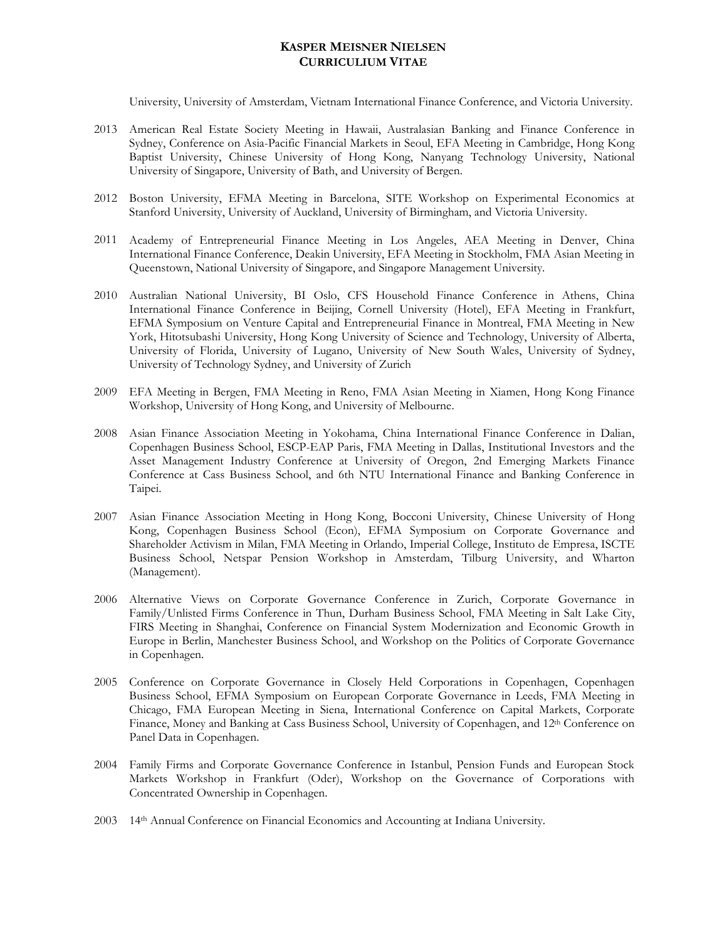University, University of Amsterdam, Vietnam International Finance Conference, and Victoria University.

- 2013 American Real Estate Society Meeting in Hawaii, Australasian Banking and Finance Conference in Sydney, Conference on Asia-Pacific Financial Markets in Seoul, EFA Meeting in Cambridge, Hong Kong Baptist University, Chinese University of Hong Kong, Nanyang Technology University, National University of Singapore, University of Bath, and University of Bergen.
- 2012 Boston University, EFMA Meeting in Barcelona, SITE Workshop on Experimental Economics at Stanford University, University of Auckland, University of Birmingham, and Victoria University.
- 2011 Academy of Entrepreneurial Finance Meeting in Los Angeles, AEA Meeting in Denver, China International Finance Conference, Deakin University, EFA Meeting in Stockholm, FMA Asian Meeting in Queenstown, National University of Singapore, and Singapore Management University.
- 2010 Australian National University, BI Oslo, CFS Household Finance Conference in Athens, China International Finance Conference in Beijing, Cornell University (Hotel), EFA Meeting in Frankfurt, EFMA Symposium on Venture Capital and Entrepreneurial Finance in Montreal, FMA Meeting in New York, Hitotsubashi University, Hong Kong University of Science and Technology, University of Alberta, University of Florida, University of Lugano, University of New South Wales, University of Sydney, University of Technology Sydney, and University of Zurich
- 2009 EFA Meeting in Bergen, FMA Meeting in Reno, FMA Asian Meeting in Xiamen, Hong Kong Finance Workshop, University of Hong Kong, and University of Melbourne.
- 2008 Asian Finance Association Meeting in Yokohama, China International Finance Conference in Dalian, Copenhagen Business School, ESCP-EAP Paris, FMA Meeting in Dallas, Institutional Investors and the Asset Management Industry Conference at University of Oregon, 2nd Emerging Markets Finance Conference at Cass Business School, and 6th NTU International Finance and Banking Conference in Taipei.
- 2007 Asian Finance Association Meeting in Hong Kong, Bocconi University, Chinese University of Hong Kong, Copenhagen Business School (Econ), EFMA Symposium on Corporate Governance and Shareholder Activism in Milan, FMA Meeting in Orlando, Imperial College, Instituto de Empresa, ISCTE Business School, Netspar Pension Workshop in Amsterdam, Tilburg University, and Wharton (Management).
- 2006 Alternative Views on Corporate Governance Conference in Zurich, Corporate Governance in Family/Unlisted Firms Conference in Thun, Durham Business School, FMA Meeting in Salt Lake City, FIRS Meeting in Shanghai, Conference on Financial System Modernization and Economic Growth in Europe in Berlin, Manchester Business School, and Workshop on the Politics of Corporate Governance in Copenhagen.
- 2005 Conference on Corporate Governance in Closely Held Corporations in Copenhagen, Copenhagen Business School, EFMA Symposium on European Corporate Governance in Leeds, FMA Meeting in Chicago, FMA European Meeting in Siena, International Conference on Capital Markets, Corporate Finance, Money and Banking at Cass Business School, University of Copenhagen, and 12<sup>th</sup> Conference on Panel Data in Copenhagen.
- 2004 Family Firms and Corporate Governance Conference in Istanbul, Pension Funds and European Stock Markets Workshop in Frankfurt (Oder), Workshop on the Governance of Corporations with Concentrated Ownership in Copenhagen.
- 2003 14th Annual Conference on Financial Economics and Accounting at Indiana University.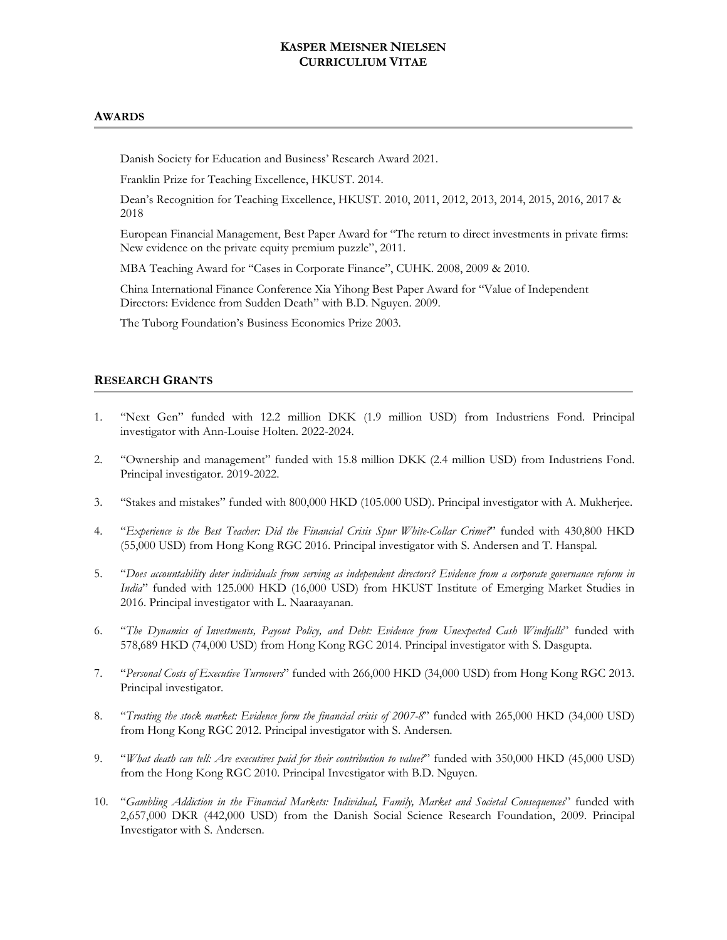### **AWARDS**

Danish Society for Education and Business' Research Award 2021.

Franklin Prize for Teaching Excellence, HKUST. 2014.

Dean's Recognition for Teaching Excellence, HKUST. 2010, 2011, 2012, 2013, 2014, 2015, 2016, 2017 & 2018

European Financial Management, Best Paper Award for "The return to direct investments in private firms: New evidence on the private equity premium puzzle", 2011.

MBA Teaching Award for "Cases in Corporate Finance", CUHK. 2008, 2009 & 2010.

China International Finance Conference Xia Yihong Best Paper Award for "Value of Independent Directors: Evidence from Sudden Death" with B.D. Nguyen. 2009.

The Tuborg Foundation's Business Economics Prize 2003.

## **RESEARCH GRANTS**

- 1. "Next Gen" funded with 12.2 million DKK (1.9 million USD) from Industriens Fond. Principal investigator with Ann-Louise Holten. 2022-2024.
- 2. "Ownership and management" funded with 15.8 million DKK (2.4 million USD) from Industriens Fond. Principal investigator. 2019-2022.
- 3. "Stakes and mistakes" funded with 800,000 HKD (105.000 USD). Principal investigator with A. Mukherjee.
- 4. "*Experience is the Best Teacher: Did the Financial Crisis Spur White-Collar Crime?*" funded with 430,800 HKD (55,000 USD) from Hong Kong RGC 2016. Principal investigator with S. Andersen and T. Hanspal.
- 5. "*Does accountability deter individuals from serving as independent directors? Evidence from a corporate governance reform in India*" funded with 125.000 HKD (16,000 USD) from HKUST Institute of Emerging Market Studies in 2016. Principal investigator with L. Naaraayanan.
- 6. "*The Dynamics of Investments, Payout Policy, and Debt: Evidence from Unexpected Cash Windfalls*" funded with 578,689 HKD (74,000 USD) from Hong Kong RGC 2014. Principal investigator with S. Dasgupta.
- 7. "*Personal Costs of Executive Turnovers*" funded with 266,000 HKD (34,000 USD) from Hong Kong RGC 2013. Principal investigator.
- 8. "*Trusting the stock market: Evidence form the financial crisis of 2007-8*" funded with 265,000 HKD (34,000 USD) from Hong Kong RGC 2012. Principal investigator with S. Andersen.
- 9. "*What death can tell: Are executives paid for their contribution to value?*" funded with 350,000 HKD (45,000 USD) from the Hong Kong RGC 2010. Principal Investigator with B.D. Nguyen.
- 10. "*Gambling Addiction in the Financial Markets: Individual, Family, Market and Societal Consequences*" funded with 2,657,000 DKR (442,000 USD) from the Danish Social Science Research Foundation, 2009. Principal Investigator with S. Andersen.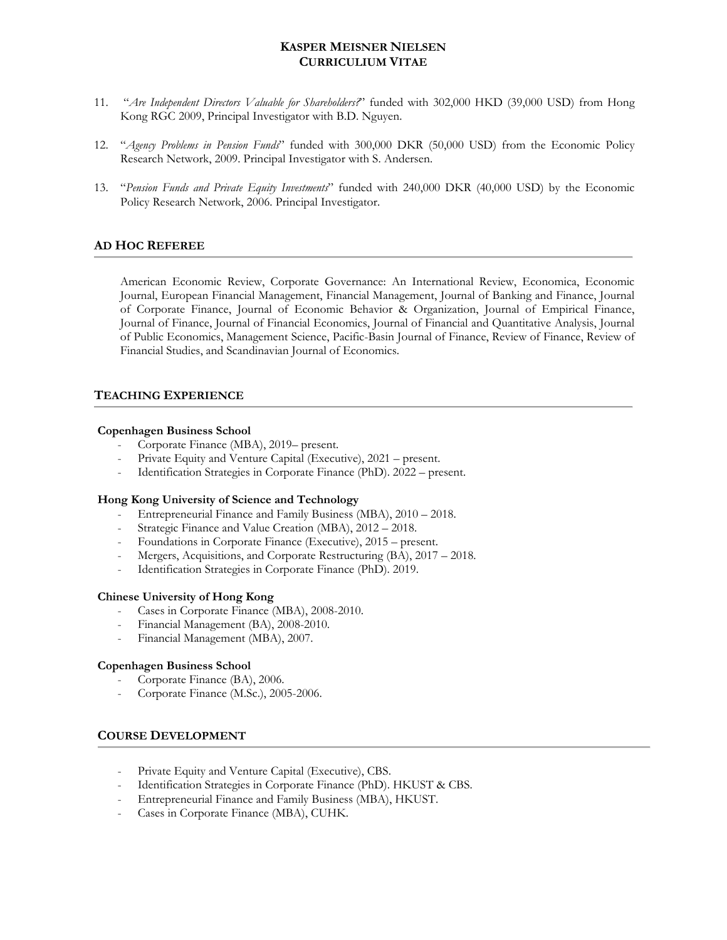- 11. "*Are Independent Directors Valuable for Shareholders?*" funded with 302,000 HKD (39,000 USD) from Hong Kong RGC 2009, Principal Investigator with B.D. Nguyen.
- 12. "*Agency Problems in Pension Funds*" funded with 300,000 DKR (50,000 USD) from the Economic Policy Research Network, 2009. Principal Investigator with S. Andersen.
- 13. "*Pension Funds and Private Equity Investments*" funded with 240,000 DKR (40,000 USD) by the Economic Policy Research Network, 2006. Principal Investigator.

## **AD HOC REFEREE**

American Economic Review, Corporate Governance: An International Review, Economica, Economic Journal, European Financial Management, Financial Management, Journal of Banking and Finance, Journal of Corporate Finance, Journal of Economic Behavior & Organization, Journal of Empirical Finance, Journal of Finance, Journal of Financial Economics, Journal of Financial and Quantitative Analysis, Journal of Public Economics, Management Science, Pacific-Basin Journal of Finance, Review of Finance, Review of Financial Studies, and Scandinavian Journal of Economics.

## **TEACHING EXPERIENCE**

### **Copenhagen Business School**

- Corporate Finance (MBA), 2019– present.
- Private Equity and Venture Capital (Executive), 2021 present.
- Identification Strategies in Corporate Finance (PhD). 2022 present.

### **Hong Kong University of Science and Technology**

- Entrepreneurial Finance and Family Business (MBA), 2010 2018.
- Strategic Finance and Value Creation (MBA), 2012 2018.
- Foundations in Corporate Finance (Executive), 2015 present.
- Mergers, Acquisitions, and Corporate Restructuring (BA), 2017 2018.
- Identification Strategies in Corporate Finance (PhD). 2019.

### **Chinese University of Hong Kong**

- Cases in Corporate Finance (MBA), 2008-2010.
- Financial Management (BA), 2008-2010.
- Financial Management (MBA), 2007.

### **Copenhagen Business School**

- Corporate Finance (BA), 2006.
- Corporate Finance (M.Sc.), 2005-2006.

## **COURSE DEVELOPMENT**

- Private Equity and Venture Capital (Executive), CBS.
- Identification Strategies in Corporate Finance (PhD). HKUST & CBS.
- Entrepreneurial Finance and Family Business (MBA), HKUST.
- Cases in Corporate Finance (MBA), CUHK.